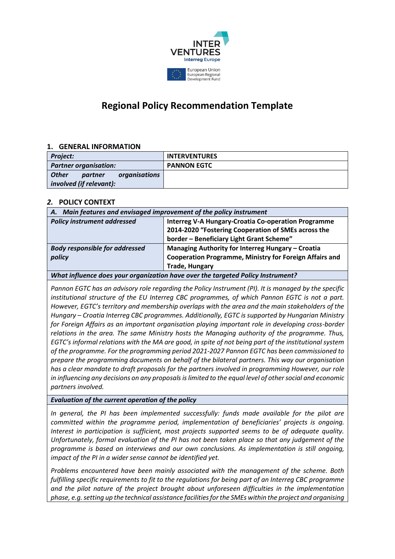

# **Regional Policy Recommendation Template**

## **1. GENERAL INFORMATION**

| Project:                                 | <b>INTERVENTURES</b> |
|------------------------------------------|----------------------|
| <b>Partner organisation:</b>             | <b>PANNON EGTC</b>   |
| <b>Other</b><br>organisations<br>partner |                      |
| involved (if relevant):                  |                      |

## *2.* **POLICY CONTEXT**

| A. Main features and envisaged improvement of the policy instrument |                                                                |
|---------------------------------------------------------------------|----------------------------------------------------------------|
| <b>Policy instrument addressed</b>                                  | <b>Interreg V-A Hungary-Croatia Co-operation Programme</b>     |
|                                                                     | 2014-2020 "Fostering Cooperation of SMEs across the            |
|                                                                     | border - Beneficiary Light Grant Scheme"                       |
| <b>Body responsible for addressed</b>                               | Managing Authority for Interreg Hungary - Croatia              |
| policy                                                              | <b>Cooperation Programme, Ministry for Foreign Affairs and</b> |
|                                                                     | <b>Trade, Hungary</b>                                          |
|                                                                     |                                                                |

*What influence does your organization have over the targeted Policy Instrument?*

*Pannon EGTC has an advisory role regarding the Policy Instrument (PI). It is managed by the specific institutional structure of the EU Interreg CBC programmes, of which Pannon EGTC is not a part. However, EGTC's territory and membership overlaps with the area and the main stakeholders of the Hungary – Croatia Interreg CBC programmes. Additionally, EGTC is supported by Hungarian Ministry for Foreign Affairs as an important organisation playing important role in developing cross-border relations in the area. The same Ministry hosts the Managing authority of the programme. Thus, EGTC's informal relations with the MA are good, in spite of not being part of the institutional system of the programme. For the programming period 2021-2027 Pannon EGTC has been commissioned to prepare the programming documents on behalf of the bilateral partners. This way our organisation has a clear mandate to draft proposals for the partners involved in programming However, our role in influencing any decisions on any proposals is limited to the equal level of other social and economic partners involved.*

#### *Evaluation of the current operation of the policy*

*In general, the PI has been implemented successfully: funds made available for the pilot are committed within the programme period, implementation of beneficiaries' projects is ongoing. Interest in participation is sufficient, most projects supported seems to be of adequate quality. Unfortunately, formal evaluation of the PI has not been taken place so that any judgement of the programme is based on interviews and our own conclusions. As implementation is still ongoing, impact of the PI in a wider sense cannot be identified yet.* 

*Problems encountered have been mainly associated with the management of the scheme. Both fulfilling specific requirements to fit to the regulations for being part of an Interreg CBC programme and the pilot nature of the project brought about unforeseen difficulties in the implementation phase, e.g.setting up the technical assistance facilities for the SMEs within the project and organising*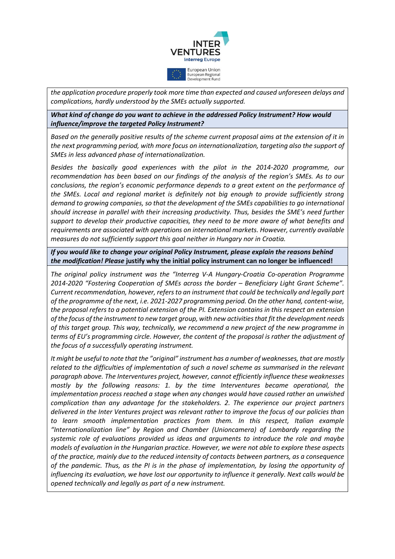

*the application procedure properly took more time than expected and caused unforeseen delays and complications, hardly understood by the SMEs actually supported.* 

*What kind of change do you want to achieve in the addressed Policy Instrument? How would influence/improve the targeted Policy Instrument?*

*Based on the generally positive results of the scheme current proposal aims at the extension of it in the next programming period, with more focus on internationalization, targeting also the support of SMEs in less advanced phase of internationalization.*

*Besides the basically good experiences with the pilot in the 2014-2020 programme, our recommendation has been based on our findings of the analysis of the region's SMEs. As to our conclusions, the region's economic performance depends to a great extent on the performance of the SMEs. Local and regional market is definitely not big enough to provide sufficiently strong demand to growing companies, so that the development of the SMEs capabilities to go international should increase in parallel with their increasing productivity. Thus, besides the SME's need further support to develop their productive capacities, they need to be more aware of what benefits and requirements are associated with operations on international markets. However, currently available measures do not sufficiently support this goal neither in Hungary nor in Croatia.*

*If you would like to change your original Policy Instrument, please explain the reasons behind the modification! Please* **justify why the initial policy instrument can no longer be influenced!**

*The original policy instrument was the "Interreg V-A Hungary-Croatia Co-operation Programme 2014-2020 "Fostering Cooperation of SMEs across the border – Beneficiary Light Grant Scheme". Current recommendation, however, refers to an instrument that could be technically and legally part of the programme of the next, i.e. 2021-2027 programming period. On the other hand, content-wise, the proposal refers to a potential extension of the PI. Extension contains in this respect an extension of the focus of the instrument to new target group, with new activities that fit the development needs of this target group. This way, technically, we recommend a new project of the new programme in terms of EU's programming circle. However, the content of the proposal is rather the adjustment of the focus of a successfully operating instrument.* 

*It might be useful to note that the "original" instrument has a number of weaknesses, that are mostly related to the difficulties of implementation of such a novel scheme as summarised in the relevant paragraph above. The Interventures project, however, cannot efficiently influence these weaknesses mostly by the following reasons: 1. by the time Interventures became operational, the implementation process reached a stage when any changes would have caused rather an unwished complication than any advantage for the stakeholders. 2. The experience our project partners delivered in the Inter Ventures project was relevant rather to improve the focus of our policies than to learn smooth implementation practices from them. In this respect, Italian example "Internationalization line" by Region and Chamber (Unioncamera) of Lombardy regarding the systemic role of evaluations provided us ideas and arguments to introduce the role and maybe models of evaluation in the Hungarian practice. However, we were not able to explore these aspects of the practice, mainly due to the reduced intensity of contacts between partners, as a consequence of the pandemic. Thus, as the PI is in the phase of implementation, by losing the opportunity of influencing its evaluation, we have lost our opportunity to influence it generally. Next calls would be opened technically and legally as part of a new instrument.*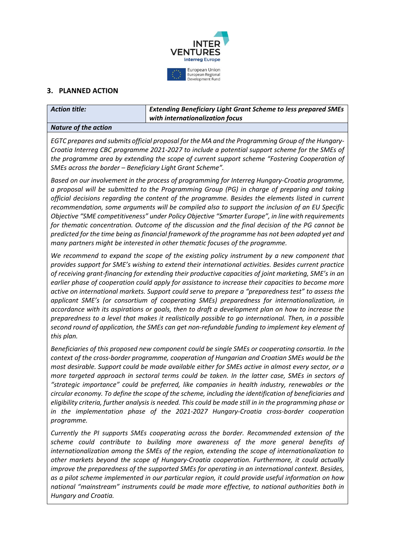

# **3. PLANNED ACTION**

| <b>Action title:</b>        | <b>Extending Beneficiary Light Grant Scheme to less prepared SMEs</b><br>with internationalization focus |
|-----------------------------|----------------------------------------------------------------------------------------------------------|
| <b>Nature of the action</b> |                                                                                                          |
|                             |                                                                                                          |

*EGTC prepares and submits official proposal for the MA and the Programming Group of the Hungary-Croatia Interreg CBC programme 2021-2027 to include a potential support scheme for the SMEs of the programme area by extending the scope of current support scheme "Fostering Cooperation of SMEs across the border – Beneficiary Light Grant Scheme".*

*Based on our involvement in the process of programming for Interreg Hungary-Croatia programme, a proposal will be submitted to the Programming Group (PG) in charge of preparing and taking official decisions regarding the content of the programme. Besides the elements listed in current recommendation, some arguments will be compiled also to support the inclusion of an EU Specific Objective "SME competitiveness" under Policy Objective "Smarter Europe", in line with requirements for thematic concentration. Outcome of the discussion and the final decision of the PG cannot be predicted for the time being as financial framework of the programme has not been adopted yet and many partners might be interested in other thematic focuses of the programme.*

*We recommend to expand the scope of the existing policy instrument by a new component that provides support for SME's wishing to extend their international activities. Besides current practice of receiving grant-financing for extending their productive capacities of joint marketing, SME's in an earlier phase of cooperation could apply for assistance to increase their capacities to become more active on international markets. Support could serve to prepare a "preparedness test" to assess the applicant SME's (or consortium of cooperating SMEs) preparedness for internationalization, in accordance with its aspirations or goals, then to draft a development plan on how to increase the preparedness to a level that makes it realistically possible to go international. Then, in a possible second round of application, the SMEs can get non-refundable funding to implement key element of this plan.* 

*Beneficiaries of this proposed new component could be single SMEs or cooperating consortia. In the context of the cross-border programme, cooperation of Hungarian and Croatian SMEs would be the most desirable. Support could be made available either for SMEs active in almost every sector, or a more targeted approach in sectoral terms could be taken. In the latter case, SMEs in sectors of "strategic importance" could be preferred, like companies in health industry, renewables or the circular economy. To define the scope of the scheme, including the identification of beneficiaries and eligibility criteria, further analysis is needed. This could be made still in in the programming phase or in the implementation phase of the 2021-2027 Hungary-Croatia cross-border cooperation programme.*

*Currently the PI supports SMEs cooperating across the border. Recommended extension of the scheme could contribute to building more awareness of the more general benefits of internationalization among the SMEs of the region, extending the scope of internationalization to other markets beyond the scope of Hungary-Croatia cooperation. Furthermore, it could actually improve the preparedness of the supported SMEs for operating in an international context. Besides, as a pilot scheme implemented in our particular region, it could provide useful information on how national "mainstream" instruments could be made more effective, to national authorities both in Hungary and Croatia.*